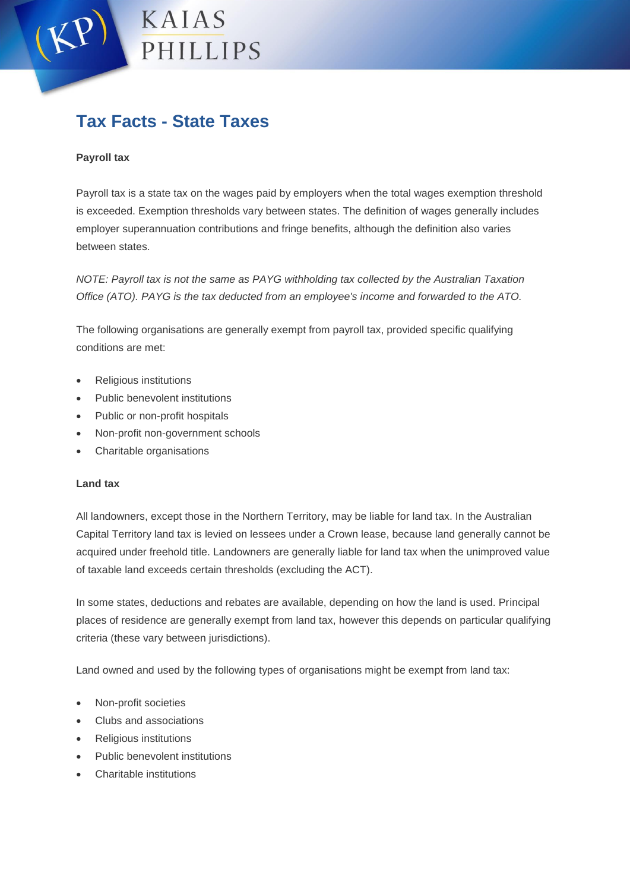# KAIAS PHILLIPS

# **Tax Facts - State Taxes**

## **Payroll tax**

Payroll tax is a state tax on the wages paid by employers when the total wages exemption threshold is exceeded. Exemption thresholds vary between states. The definition of wages generally includes employer superannuation contributions and fringe benefits, although the definition also varies between states.

*NOTE: Payroll tax is not the same as PAYG withholding tax collected by the Australian Taxation Office (ATO). PAYG is the tax deducted from an employee's income and forwarded to the ATO.*

The following organisations are generally exempt from payroll tax, provided specific qualifying conditions are met:

- Religious institutions
- Public benevolent institutions
- Public or non-profit hospitals
- Non-profit non-government schools
- Charitable organisations

#### **Land tax**

All landowners, except those in the Northern Territory, may be liable for land tax. In the Australian Capital Territory land tax is levied on lessees under a Crown lease, because land generally cannot be acquired under freehold title. Landowners are generally liable for land tax when the unimproved value of taxable land exceeds certain thresholds (excluding the ACT).

In some states, deductions and rebates are available, depending on how the land is used. Principal places of residence are generally exempt from land tax, however this depends on particular qualifying criteria (these vary between jurisdictions).

Land owned and used by the following types of organisations might be exempt from land tax:

- Non-profit societies
- Clubs and associations
- Religious institutions
- Public benevolent institutions
- Charitable institutions